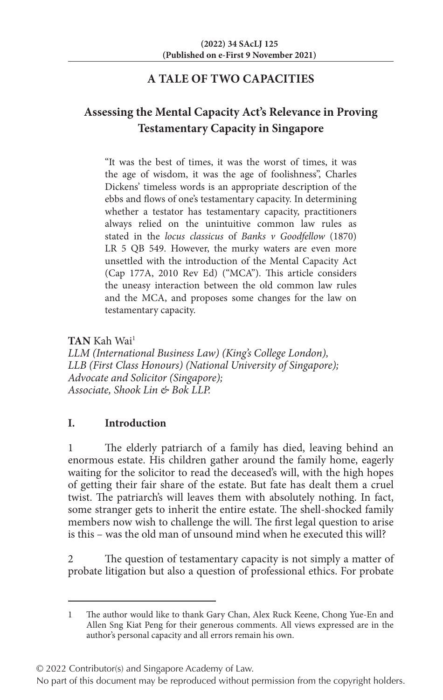# **A TALE OF TWO CAPACITIES**

# **Assessing the Mental Capacity Act's Relevance in Proving Testamentary Capacity in Singapore**

"It was the best of times, it was the worst of times, it was the age of wisdom, it was the age of foolishness", Charles Dickens' timeless words is an appropriate description of the ebbs and flows of one's testamentary capacity. In determining whether a testator has testamentary capacity, practitioners always relied on the unintuitive common law rules as stated in the *locus classicus* of *Banks v Goodfellow* (1870) LR 5 QB 549. However, the murky waters are even more unsettled with the introduction of the Mental Capacity Act (Cap 177A, 2010 Rev Ed) ("MCA"). This article considers the uneasy interaction between the old common law rules and the MCA, and proposes some changes for the law on testamentary capacity.

**TAN** Kah Wai1

*LLM (International Business Law) (King's College London), LLB (First Class Honours) (National University of Singapore); Advocate and Solicitor (Singapore); Associate, Shook Lin & Bok LLP.*

# **I. Introduction**

The elderly patriarch of a family has died, leaving behind an enormous estate. His children gather around the family home, eagerly waiting for the solicitor to read the deceased's will, with the high hopes of getting their fair share of the estate. But fate has dealt them a cruel twist. The patriarch's will leaves them with absolutely nothing. In fact, some stranger gets to inherit the entire estate. The shell-shocked family members now wish to challenge the will. The first legal question to arise is this – was the old man of unsound mind when he executed this will?

2 The question of testamentary capacity is not simply a matter of probate litigation but also a question of professional ethics. For probate

© 2022 Contributor(s) and Singapore Academy of Law.

<sup>1</sup> The author would like to thank Gary Chan, Alex Ruck Keene, Chong Yue-En and Allen Sng Kiat Peng for their generous comments. All views expressed are in the author's personal capacity and all errors remain his own.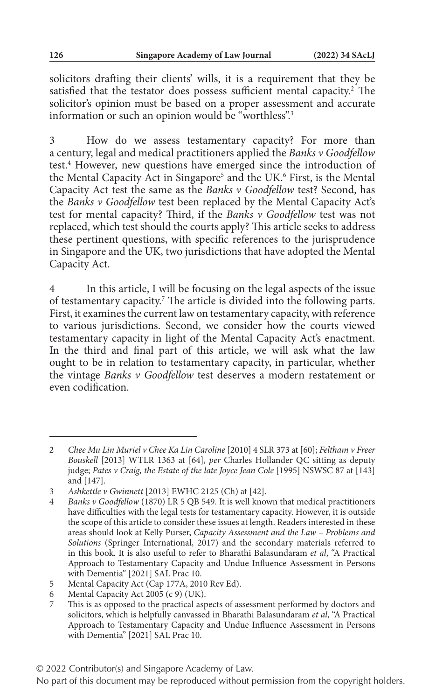solicitors drafting their clients' wills, it is a requirement that they be satisfied that the testator does possess sufficient mental capacity.<sup>2</sup> The solicitor's opinion must be based on a proper assessment and accurate information or such an opinion would be "worthless".<sup>3</sup>

3 How do we assess testamentary capacity? For more than a century, legal and medical practitioners applied the *Banks v Goodfellow* test.<sup>4</sup> However, new questions have emerged since the introduction of the Mental Capacity Act in Singapore<sup>5</sup> and the UK.<sup>6</sup> First, is the Mental Capacity Act test the same as the *Banks v Goodfellow* test? Second, has the *Banks v Goodfellow* test been replaced by the Mental Capacity Act's test for mental capacity? Third, if the *Banks v Goodfellow* test was not replaced, which test should the courts apply? This article seeks to address these pertinent questions, with specific references to the jurisprudence in Singapore and the UK, two jurisdictions that have adopted the Mental Capacity Act.

4 In this article, I will be focusing on the legal aspects of the issue of testamentary capacity.<sup>7</sup> The article is divided into the following parts. First, it examines the current law on testamentary capacity, with reference to various jurisdictions. Second, we consider how the courts viewed testamentary capacity in light of the Mental Capacity Act's enactment. In the third and final part of this article, we will ask what the law ought to be in relation to testamentary capacity, in particular, whether the vintage *Banks v Goodfellow* test deserves a modern restatement or even codification.

<sup>2</sup> *Chee Mu Lin Muriel v Chee Ka Lin Caroline* [2010] 4 SLR 373 at [60]; *Feltham v Freer Bouskell* [2013] WTLR 1363 at [64], *per* Charles Hollander QC sitting as deputy judge; *Pates v Craig, the Estate of the late Joyce Jean Cole* [1995] NSWSC 87 at [143] and [147].

<sup>3</sup> *Ashkettle v Gwinnett* [2013] EWHC 2125 (Ch) at [42].

<sup>4</sup> *Banks v Goodfellow* (1870) LR 5 QB 549. It is well known that medical practitioners have difficulties with the legal tests for testamentary capacity. However, it is outside the scope of this article to consider these issues at length. Readers interested in these areas should look at Kelly Purser, *Capacity Assessment and the Law – Problems and Solutions* (Springer International, 2017) and the secondary materials referred to in this book. It is also useful to refer to Bharathi Balasundaram *et al*, "A Practical Approach to Testamentary Capacity and Undue Influence Assessment in Persons with Dementia" [2021] SAL Prac 10.

<sup>5</sup> Mental Capacity Act (Cap 177A, 2010 Rev Ed).

<sup>6</sup> Mental Capacity Act 2005 (c 9) (UK).

<sup>7</sup> This is as opposed to the practical aspects of assessment performed by doctors and solicitors, which is helpfully canvassed in Bharathi Balasundaram *et al*, "A Practical Approach to Testamentary Capacity and Undue Influence Assessment in Persons with Dementia" [2021] SAL Prac 10.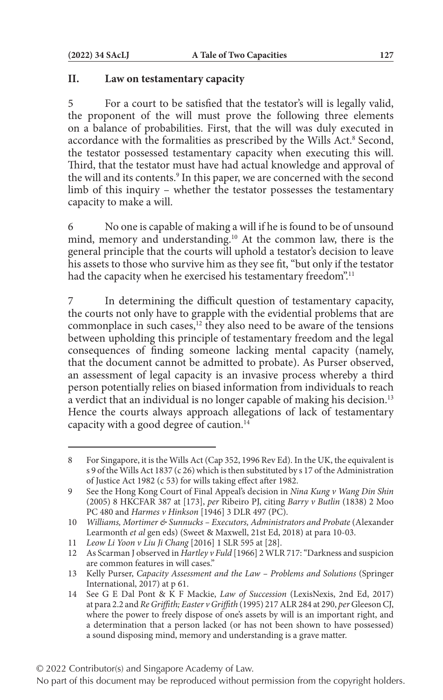#### **II. Law on testamentary capacity**

5 For a court to be satisfied that the testator's will is legally valid, the proponent of the will must prove the following three elements on a balance of probabilities. First, that the will was duly executed in accordance with the formalities as prescribed by the Wills Act.<sup>8</sup> Second, the testator possessed testamentary capacity when executing this will. Third, that the testator must have had actual knowledge and approval of the will and its contents.<sup>9</sup> In this paper, we are concerned with the second limb of this inquiry – whether the testator possesses the testamentary capacity to make a will.

6 No one is capable of making a will if he is found to be of unsound mind, memory and understanding.10 At the common law, there is the general principle that the courts will uphold a testator's decision to leave his assets to those who survive him as they see fit, "but only if the testator had the capacity when he exercised his testamentary freedom".<sup>11</sup>

7 In determining the difficult question of testamentary capacity, the courts not only have to grapple with the evidential problems that are commonplace in such cases,<sup>12</sup> they also need to be aware of the tensions between upholding this principle of testamentary freedom and the legal consequences of finding someone lacking mental capacity (namely, that the document cannot be admitted to probate). As Purser observed, an assessment of legal capacity is an invasive process whereby a third person potentially relies on biased information from individuals to reach a verdict that an individual is no longer capable of making his decision.<sup>13</sup> Hence the courts always approach allegations of lack of testamentary capacity with a good degree of caution.14

<sup>8</sup> For Singapore, it is the Wills Act (Cap 352, 1996 Rev Ed). In the UK, the equivalent is s 9 of the Wills Act 1837 (c 26) which is then substituted by s 17 of the Administration of Justice Act 1982 (c 53) for wills taking effect after 1982.

<sup>9</sup> See the Hong Kong Court of Final Appeal's decision in *Nina Kung v Wang Din Shin* (2005) 8 HKCFAR 387 at [173], *per* Ribeiro PJ, citing *Barry v Butlin* (1838) 2 Moo PC 480 and *Harmes v Hinkson* [1946] 3 DLR 497 (PC).

<sup>10</sup> *Williams, Mortimer & Sunnucks – Executors, Administrators and Probate* (Alexander Learmonth *et al* gen eds) (Sweet & Maxwell, 21st Ed, 2018) at para 10-03.

<sup>11</sup> *Leow Li Yoon v Liu Ji Chang* [2016] 1 SLR 595 at [28].

<sup>12</sup> As Scarman J observed in *Hartley v Fuld* [1966] 2 WLR 717: "Darkness and suspicion are common features in will cases."

<sup>13</sup> Kelly Purser, *Capacity Assessment and the Law – Problems and Solutions* (Springer International, 2017) at p 61.

<sup>14</sup> See G E Dal Pont & K F Mackie, *Law of Succession* (LexisNexis, 2nd Ed, 2017) at para 2.2 and *Re Griffith; Easter v Griffith* (1995) 217 ALR 284 at 290, *per* Gleeson CJ, where the power to freely dispose of one's assets by will is an important right, and a determination that a person lacked (or has not been shown to have possessed) a sound disposing mind, memory and understanding is a grave matter.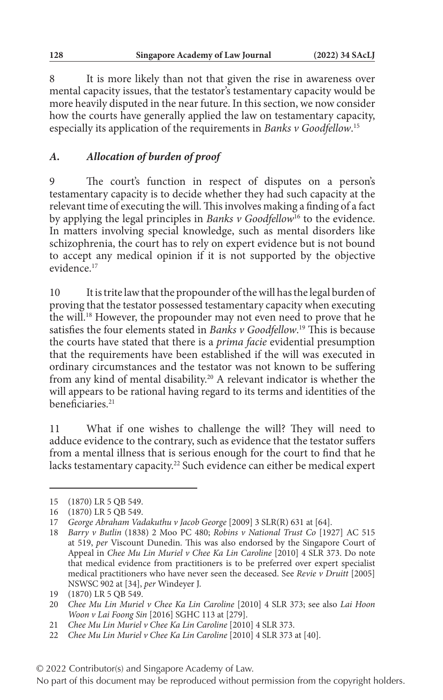8 It is more likely than not that given the rise in awareness over mental capacity issues, that the testator's testamentary capacity would be more heavily disputed in the near future. In this section, we now consider how the courts have generally applied the law on testamentary capacity, especially its application of the requirements in *Banks v Goodfellow*. 15

# *A. Allocation of burden of proof*

9 The court's function in respect of disputes on a person's testamentary capacity is to decide whether they had such capacity at the relevant time of executing the will. This involves making a finding of a fact by applying the legal principles in *Banks v Goodfellow*16 to the evidence. In matters involving special knowledge, such as mental disorders like schizophrenia, the court has to rely on expert evidence but is not bound to accept any medical opinion if it is not supported by the objective evidence<sup>17</sup>

10 It is trite law that the propounder of the will has the legal burden of proving that the testator possessed testamentary capacity when executing the will.18 However, the propounder may not even need to prove that he satisfies the four elements stated in *Banks v Goodfellow*. 19 This is because the courts have stated that there is a *prima facie* evidential presumption that the requirements have been established if the will was executed in ordinary circumstances and the testator was not known to be suffering from any kind of mental disability.20 A relevant indicator is whether the will appears to be rational having regard to its terms and identities of the beneficiaries.<sup>21</sup>

11 What if one wishes to challenge the will? They will need to adduce evidence to the contrary, such as evidence that the testator suffers from a mental illness that is serious enough for the court to find that he lacks testamentary capacity.<sup>22</sup> Such evidence can either be medical expert

<sup>15</sup> (1870) LR 5 QB 549.

<sup>16</sup> (1870) LR 5 QB 549.

<sup>17</sup> *George Abraham Vadakuthu v Jacob George* [2009] 3 SLR(R) 631 at [64].

<sup>18</sup> *Barry v Butlin* (1838) 2 Moo PC 480; *Robins v National Trust Co* [1927] AC 515 at 519, *per* Viscount Dunedin. This was also endorsed by the Singapore Court of Appeal in *Chee Mu Lin Muriel v Chee Ka Lin Caroline* [2010] 4 SLR 373. Do note that medical evidence from practitioners is to be preferred over expert specialist medical practitioners who have never seen the deceased. See *Revie v Druitt* [2005] NSWSC 902 at [34], *per* Windeyer J.

<sup>19</sup> (1870) LR 5 QB 549.

<sup>20</sup> *Chee Mu Lin Muriel v Chee Ka Lin Caroline* [2010] 4 SLR 373; see also *Lai Hoon Woon v Lai Foong Sin* [2016] SGHC 113 at [279].

<sup>21</sup> *Chee Mu Lin Muriel v Chee Ka Lin Caroline* [2010] 4 SLR 373.

<sup>22</sup> *Chee Mu Lin Muriel v Chee Ka Lin Caroline* [2010] 4 SLR 373 at [40].

No part of this document may be reproduced without permission from the copyright holders.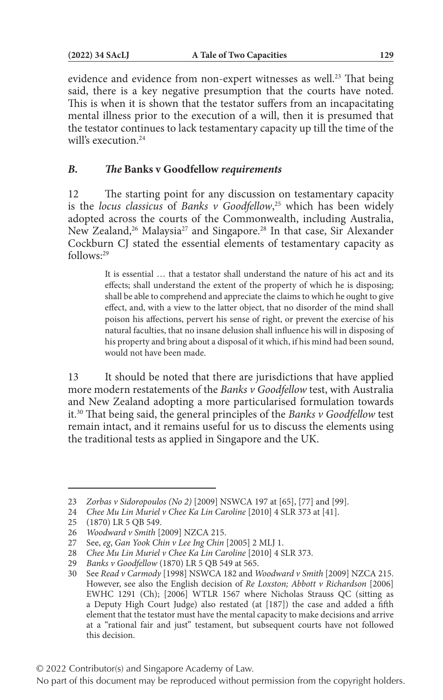evidence and evidence from non-expert witnesses as well.<sup>23</sup> That being said, there is a key negative presumption that the courts have noted. This is when it is shown that the testator suffers from an incapacitating mental illness prior to the execution of a will, then it is presumed that the testator continues to lack testamentary capacity up till the time of the will's execution.<sup>24</sup>

#### *B. The* **Banks v Goodfellow** *requirements*

12 The starting point for any discussion on testamentary capacity is the *locus classicus* of *Banks v Goodfellow*, 25 which has been widely adopted across the courts of the Commonwealth, including Australia, New Zealand,<sup>26</sup> Malaysia<sup>27</sup> and Singapore.<sup>28</sup> In that case, Sir Alexander Cockburn CJ stated the essential elements of testamentary capacity as follows:29

> It is essential … that a testator shall understand the nature of his act and its effects; shall understand the extent of the property of which he is disposing; shall be able to comprehend and appreciate the claims to which he ought to give effect, and, with a view to the latter object, that no disorder of the mind shall poison his affections, pervert his sense of right, or prevent the exercise of his natural faculties, that no insane delusion shall influence his will in disposing of his property and bring about a disposal of it which, if his mind had been sound, would not have been made.

13 It should be noted that there are jurisdictions that have applied more modern restatements of the *Banks v Goodfellow* test, with Australia and New Zealand adopting a more particularised formulation towards it.30 That being said, the general principles of the *Banks v Goodfellow* test remain intact, and it remains useful for us to discuss the elements using the traditional tests as applied in Singapore and the UK.

<sup>23</sup> *Zorbas v Sidoropoulos (No 2)* [2009] NSWCA 197 at [65], [77] and [99].

<sup>24</sup> *Chee Mu Lin Muriel v Chee Ka Lin Caroline* [2010] 4 SLR 373 at [41].

<sup>25</sup> (1870) LR 5 QB 549.

<sup>26</sup> *Woodward v Smith* [2009] NZCA 215.

<sup>27</sup> See, *eg*, *Gan Yook Chin v Lee Ing Chin* [2005] 2 MLJ 1.

<sup>28</sup> *Chee Mu Lin Muriel v Chee Ka Lin Caroline* [2010] 4 SLR 373.

<sup>29</sup> *Banks v Goodfellow* (1870) LR 5 QB 549 at 565.

<sup>30</sup> See *Read v Carmody* [1998] NSWCA 182 and *Woodward v Smith* [2009] NZCA 215. However, see also the English decision of *Re Loxston; Abbott v Richardson* [2006] EWHC 1291 (Ch); [2006] WTLR 1567 where Nicholas Strauss QC (sitting as a Deputy High Court Judge) also restated (at [187]) the case and added a fifth element that the testator must have the mental capacity to make decisions and arrive at a "rational fair and just" testament, but subsequent courts have not followed this decision.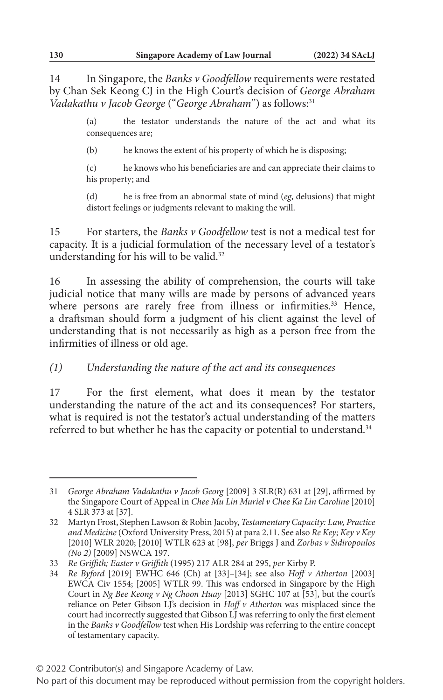14 In Singapore, the *Banks v Goodfellow* requirements were restated by Chan Sek Keong CJ in the High Court's decision of *George Abraham Vadakathu v Jacob George* ("*George Abraham*") as follows:31

> (a) the testator understands the nature of the act and what its consequences are;

(b) he knows the extent of his property of which he is disposing;

(c) he knows who his beneficiaries are and can appreciate their claims to his property; and

(d) he is free from an abnormal state of mind (*eg*, delusions) that might distort feelings or judgments relevant to making the will.

15 For starters, the *Banks v Goodfellow* test is not a medical test for capacity. It is a judicial formulation of the necessary level of a testator's understanding for his will to be valid.<sup>32</sup>

16 In assessing the ability of comprehension, the courts will take judicial notice that many wills are made by persons of advanced years where persons are rarely free from illness or infirmities.<sup>33</sup> Hence, a draftsman should form a judgment of his client against the level of understanding that is not necessarily as high as a person free from the infirmities of illness or old age.

#### *(1) Understanding the nature of the act and its consequences*

17 For the first element, what does it mean by the testator understanding the nature of the act and its consequences? For starters, what is required is not the testator's actual understanding of the matters referred to but whether he has the capacity or potential to understand.<sup>34</sup>

<sup>31</sup> *George Abraham Vadakathu v Jacob Georg* [2009] 3 SLR(R) 631 at [29], affirmed by the Singapore Court of Appeal in *Chee Mu Lin Muriel v Chee Ka Lin Caroline* [2010] 4 SLR 373 at [37].

<sup>32</sup> Martyn Frost, Stephen Lawson & Robin Jacoby, *Testamentary Capacity: Law, Practice and Medicine* (Oxford University Press, 2015) at para 2.11. See also *Re Key; Key v Key* [2010] WLR 2020; [2010] WTLR 623 at [98], *per* Briggs J and *Zorbas v Sidiropoulos (No 2)* [2009] NSWCA 197.

<sup>33</sup> *Re Griffith; Easter v Griffith* (1995) 217 ALR 284 at 295, *per* Kirby P.

<sup>34</sup> *Re Byford* [2019] EWHC 646 (Ch) at [33]–[34]; see also *Hoff v Atherton* [2003] EWCA Civ 1554; [2005] WTLR 99. This was endorsed in Singapore by the High Court in *Ng Bee Keong v Ng Choon Huay* [2013] SGHC 107 at [53], but the court's reliance on Peter Gibson LJ's decision in *Hoff v Atherton* was misplaced since the court had incorrectly suggested that Gibson LJ was referring to only the first element in the *Banks v Goodfellow* test when His Lordship was referring to the entire concept of testamentary capacity.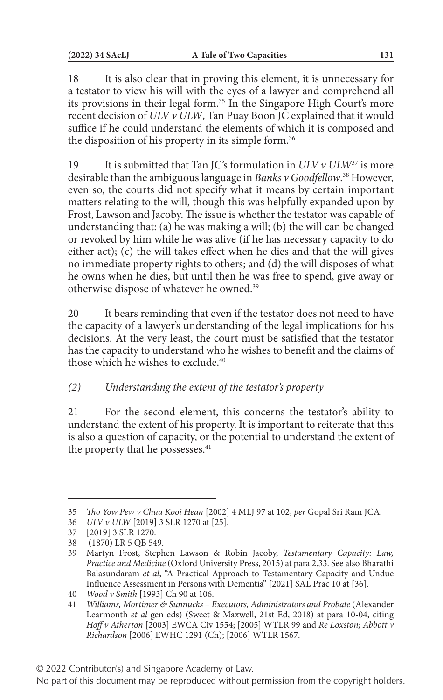18 It is also clear that in proving this element, it is unnecessary for a testator to view his will with the eyes of a lawyer and comprehend all its provisions in their legal form.<sup>35</sup> In the Singapore High Court's more recent decision of *ULV v ULW*, Tan Puay Boon JC explained that it would suffice if he could understand the elements of which it is composed and the disposition of his property in its simple form.<sup>36</sup>

19 It is submitted that Tan JC's formulation in *ULV v ULW*37 is more desirable than the ambiguous language in *Banks v Goodfellow*. 38 However, even so, the courts did not specify what it means by certain important matters relating to the will, though this was helpfully expanded upon by Frost, Lawson and Jacoby. The issue is whether the testator was capable of understanding that: (a) he was making a will; (b) the will can be changed or revoked by him while he was alive (if he has necessary capacity to do either act); (c) the will takes effect when he dies and that the will gives no immediate property rights to others; and (d) the will disposes of what he owns when he dies, but until then he was free to spend, give away or otherwise dispose of whatever he owned.39

20 It bears reminding that even if the testator does not need to have the capacity of a lawyer's understanding of the legal implications for his decisions. At the very least, the court must be satisfied that the testator has the capacity to understand who he wishes to benefit and the claims of those which he wishes to exclude.<sup>40</sup>

# *(2) Understanding the extent of the testator's property*

21 For the second element, this concerns the testator's ability to understand the extent of his property. It is important to reiterate that this is also a question of capacity, or the potential to understand the extent of the property that he possesses.<sup>41</sup>

<sup>35</sup> *Tho Yow Pew v Chua Kooi Hean* [2002] 4 MLJ 97 at 102, *per* Gopal Sri Ram JCA.

<sup>36</sup> *ULV v ULW* [2019] 3 SLR 1270 at [25].

<sup>37</sup> [2019] 3 SLR 1270.

<sup>38 (1870)</sup> LR 5 QB 549.

<sup>39</sup> Martyn Frost, Stephen Lawson & Robin Jacoby, *Testamentary Capacity: Law, Practice and Medicine* (Oxford University Press, 2015) at para 2.33. See also Bharathi Balasundaram *et al*, "A Practical Approach to Testamentary Capacity and Undue Influence Assessment in Persons with Dementia" [2021] SAL Prac 10 at [36].

<sup>40</sup> *Wood v Smith* [1993] Ch 90 at 106.

<sup>41</sup> *Williams, Mortimer & Sunnucks – Executors, Administrators and Probate* (Alexander Learmonth *et al* gen eds) (Sweet & Maxwell, 21st Ed, 2018) at para 10-04, citing *Hoff v Atherton* [2003] EWCA Civ 1554; [2005] WTLR 99 and *Re Loxston; Abbott v Richardson* [2006] EWHC 1291 (Ch); [2006] WTLR 1567.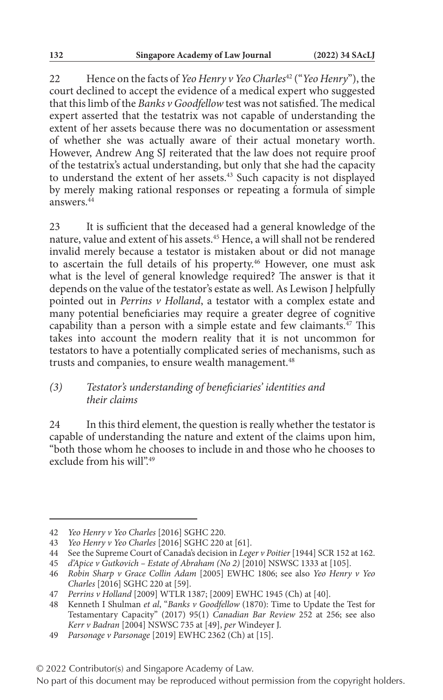22 Hence on the facts of *Yeo Henry v Yeo Charles*42 ("*Yeo Henry*"), the court declined to accept the evidence of a medical expert who suggested that this limb of the *Banks v Goodfellow* test was not satisfied. The medical expert asserted that the testatrix was not capable of understanding the extent of her assets because there was no documentation or assessment of whether she was actually aware of their actual monetary worth. However, Andrew Ang SJ reiterated that the law does not require proof of the testatrix's actual understanding, but only that she had the capacity to understand the extent of her assets.<sup>43</sup> Such capacity is not displayed by merely making rational responses or repeating a formula of simple answers  $\frac{4}{4}$ 

23 It is sufficient that the deceased had a general knowledge of the nature, value and extent of his assets.45 Hence, a will shall not be rendered invalid merely because a testator is mistaken about or did not manage to ascertain the full details of his property.<sup>46</sup> However, one must ask what is the level of general knowledge required? The answer is that it depends on the value of the testator's estate as well. As Lewison J helpfully pointed out in *Perrins v Holland*, a testator with a complex estate and many potential beneficiaries may require a greater degree of cognitive capability than a person with a simple estate and few claimants.<sup>47</sup> This takes into account the modern reality that it is not uncommon for testators to have a potentially complicated series of mechanisms, such as trusts and companies, to ensure wealth management.<sup>48</sup>

#### *(3) Testator's understanding of beneficiaries' identities and their claims*

24 In this third element, the question is really whether the testator is capable of understanding the nature and extent of the claims upon him, "both those whom he chooses to include in and those who he chooses to exclude from his will".49

<sup>42</sup> *Yeo Henry v Yeo Charles* [2016] SGHC 220.

<sup>43</sup> *Yeo Henry v Yeo Charles* [2016] SGHC 220 at [61].

<sup>44</sup> See the Supreme Court of Canada's decision in *Leger v Poitier* [1944] SCR 152 at 162.

<sup>45</sup> *d'Apice v Gutkovich – Estate of Abraham (No 2)* [2010] NSWSC 1333 at [105].

<sup>46</sup> *Robin Sharp v Grace Collin Adam* [2005] EWHC 1806; see also *Yeo Henry v Yeo Charles* [2016] SGHC 220 at [59].

<sup>47</sup> *Perrins v Holland* [2009] WTLR 1387; [2009] EWHC 1945 (Ch) at [40].

<sup>48</sup> Kenneth I Shulman *et al*, "*Banks v Goodfellow* (1870): Time to Update the Test for Testamentary Capacity" (2017) 95(1) *Canadian Bar Review* 252 at 256; see also *Kerr v Badran* [2004] NSWSC 735 at [49], *per* Windeyer J.

<sup>49</sup> *Parsonage v Parsonage* [2019] EWHC 2362 (Ch) at [15].

<sup>© 2022</sup> Contributor(s) and Singapore Academy of Law.

No part of this document may be reproduced without permission from the copyright holders.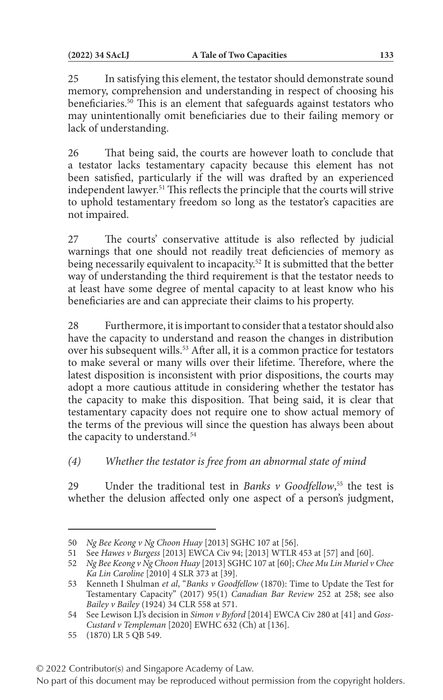25 In satisfying this element, the testator should demonstrate sound memory, comprehension and understanding in respect of choosing his beneficiaries.<sup>50</sup> This is an element that safeguards against testators who may unintentionally omit beneficiaries due to their failing memory or lack of understanding.

26 That being said, the courts are however loath to conclude that a testator lacks testamentary capacity because this element has not been satisfied, particularly if the will was drafted by an experienced independent lawyer.51 This reflects the principle that the courts will strive to uphold testamentary freedom so long as the testator's capacities are not impaired.

27 The courts' conservative attitude is also reflected by judicial warnings that one should not readily treat deficiencies of memory as being necessarily equivalent to incapacity.<sup>52</sup> It is submitted that the better way of understanding the third requirement is that the testator needs to at least have some degree of mental capacity to at least know who his beneficiaries are and can appreciate their claims to his property.

28 Furthermore, it is important to consider that a testator should also have the capacity to understand and reason the changes in distribution over his subsequent wills.<sup>53</sup> After all, it is a common practice for testators to make several or many wills over their lifetime. Therefore, where the latest disposition is inconsistent with prior dispositions, the courts may adopt a more cautious attitude in considering whether the testator has the capacity to make this disposition. That being said, it is clear that testamentary capacity does not require one to show actual memory of the terms of the previous will since the question has always been about the capacity to understand.<sup>54</sup>

*(4) Whether the testator is free from an abnormal state of mind*

29 Under the traditional test in *Banks v Goodfellow*, 55 the test is whether the delusion affected only one aspect of a person's judgment,

© 2022 Contributor(s) and Singapore Academy of Law.

<sup>50</sup> *Ng Bee Keong v Ng Choon Huay* [2013] SGHC 107 at [56].

<sup>51</sup> See *Hawes v Burgess* [2013] EWCA Civ 94; [2013] WTLR 453 at [57] and [60].

<sup>52</sup> *Ng Bee Keong v Ng Choon Huay* [2013] SGHC 107 at [60]; *Chee Mu Lin Muriel v Chee Ka Lin Caroline* [2010] 4 SLR 373 at [39].

<sup>53</sup> Kenneth I Shulman *et al*, "*Banks v Goodfellow* (1870): Time to Update the Test for Testamentary Capacity" (2017) 95(1) *Canadian Bar Review* 252 at 258; see also *Bailey v Bailey* (1924) 34 CLR 558 at 571.

<sup>54</sup> See Lewison LJ's decision in *Simon v Byford* [2014] EWCA Civ 280 at [41] and *Goss-Custard v Templeman* [2020] EWHC 632 (Ch) at [136].

<sup>55</sup> (1870) LR 5 QB 549.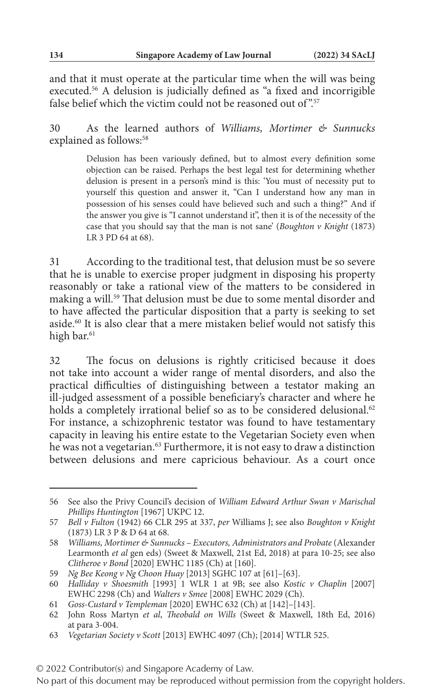and that it must operate at the particular time when the will was being executed.56 A delusion is judicially defined as "a fixed and incorrigible false belief which the victim could not be reasoned out of".<sup>57</sup>

30 As the learned authors of *Williams, Mortimer & Sunnucks* explained as follows:<sup>58</sup>

> Delusion has been variously defined, but to almost every definition some objection can be raised. Perhaps the best legal test for determining whether delusion is present in a person's mind is this: 'You must of necessity put to yourself this question and answer it, "Can I understand how any man in possession of his senses could have believed such and such a thing?" And if the answer you give is "I cannot understand it", then it is of the necessity of the case that you should say that the man is not sane' (*Boughton v Knight* (1873) LR 3 PD 64 at 68).

31 According to the traditional test, that delusion must be so severe that he is unable to exercise proper judgment in disposing his property reasonably or take a rational view of the matters to be considered in making a will.59 That delusion must be due to some mental disorder and to have affected the particular disposition that a party is seeking to set aside.60 It is also clear that a mere mistaken belief would not satisfy this high bar.<sup>61</sup>

32 The focus on delusions is rightly criticised because it does not take into account a wider range of mental disorders, and also the practical difficulties of distinguishing between a testator making an ill-judged assessment of a possible beneficiary's character and where he holds a completely irrational belief so as to be considered delusional.<sup>62</sup> For instance, a schizophrenic testator was found to have testamentary capacity in leaving his entire estate to the Vegetarian Society even when he was not a vegetarian.63 Furthermore, it is not easy to draw a distinction between delusions and mere capricious behaviour. As a court once

<sup>56</sup> See also the Privy Council's decision of *William Edward Arthur Swan v Marischal Phillips Huntington* [1967] UKPC 12.

<sup>57</sup> *Bell v Fulton* (1942) 66 CLR 295 at 337, *per* Williams J; see also *Boughton v Knight* (1873) LR 3 P & D 64 at 68.

<sup>58</sup> *Williams, Mortimer & Sunnucks – Executors, Administrators and Probate* (Alexander Learmonth *et al* gen eds) (Sweet & Maxwell, 21st Ed, 2018) at para 10-25; see also *Clitheroe v Bond* [2020] EWHC 1185 (Ch) at [160].

<sup>59</sup> *Ng Bee Keong v Ng Choon Huay* [2013] SGHC 107 at [61]–[63].

<sup>60</sup> *Halliday v Shoesmith* [1993] 1 WLR 1 at 9B; see also *Kostic v Chaplin* [2007] EWHC 2298 (Ch) and *Walters v Smee* [2008] EWHC 2029 (Ch).

<sup>61</sup> *Goss-Custard v Templeman* [2020] EWHC 632 (Ch) at [142]–[143].

<sup>62</sup> John Ross Martyn *et al*, *Theobald on Wills* (Sweet & Maxwell, 18th Ed, 2016) at para 3-004.

<sup>63</sup> *Vegetarian Society v Scott* [2013] EWHC 4097 (Ch); [2014] WTLR 525.

No part of this document may be reproduced without permission from the copyright holders.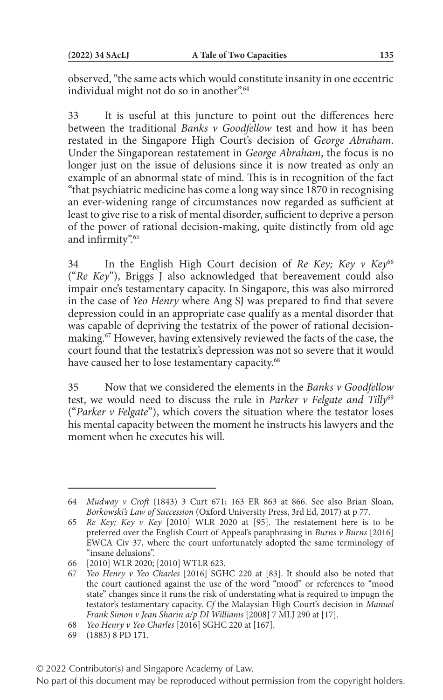observed, "the same acts which would constitute insanity in one eccentric individual might not do so in another".<sup>64</sup>

33 It is useful at this juncture to point out the differences here between the traditional *Banks v Goodfellow* test and how it has been restated in the Singapore High Court's decision of *George Abraham*. Under the Singaporean restatement in *George Abraham*, the focus is no longer just on the issue of delusions since it is now treated as only an example of an abnormal state of mind. This is in recognition of the fact "that psychiatric medicine has come a long way since 1870 in recognising an ever-widening range of circumstances now regarded as sufficient at least to give rise to a risk of mental disorder, sufficient to deprive a person of the power of rational decision-making, quite distinctly from old age and infirmity".<sup>65</sup>

34 In the English High Court decision of *Re Key; Key v Key*<sup>66</sup> ("*Re Key*"), Briggs J also acknowledged that bereavement could also impair one's testamentary capacity. In Singapore, this was also mirrored in the case of *Yeo Henry* where Ang SJ was prepared to find that severe depression could in an appropriate case qualify as a mental disorder that was capable of depriving the testatrix of the power of rational decisionmaking.67 However, having extensively reviewed the facts of the case, the court found that the testatrix's depression was not so severe that it would have caused her to lose testamentary capacity.<sup>68</sup>

35 Now that we considered the elements in the *Banks v Goodfellow* test, we would need to discuss the rule in *Parker v Felgate and Tilly*<sup>69</sup> ("*Parker v Felgate*"), which covers the situation where the testator loses his mental capacity between the moment he instructs his lawyers and the moment when he executes his will.

<sup>64</sup> *Mudway v Croft* (1843) 3 Curt 671; 163 ER 863 at 866. See also Brian Sloan, *Borkowski's Law of Succession* (Oxford University Press, 3rd Ed, 2017) at p 77.

<sup>65</sup> *Re Key; Key v Key* [2010] WLR 2020 at [95]. The restatement here is to be preferred over the English Court of Appeal's paraphrasing in *Burns v Burns* [2016] EWCA Civ 37, where the court unfortunately adopted the same terminology of "insane delusions".

<sup>66</sup> [2010] WLR 2020; [2010] WTLR 623.

<sup>67</sup> *Yeo Henry v Yeo Charles* [2016] SGHC 220 at [83]. It should also be noted that the court cautioned against the use of the word "mood" or references to "mood state" changes since it runs the risk of understating what is required to impugn the testator's testamentary capacity. *Cf* the Malaysian High Court's decision in *Manuel Frank Simon v Jean Sharin a/p DI Williams* [2008] 7 MLJ 290 at [17].

<sup>68</sup> *Yeo Henry v Yeo Charles* [2016] SGHC 220 at [167].

<sup>69</sup> (1883) 8 PD 171.

No part of this document may be reproduced without permission from the copyright holders.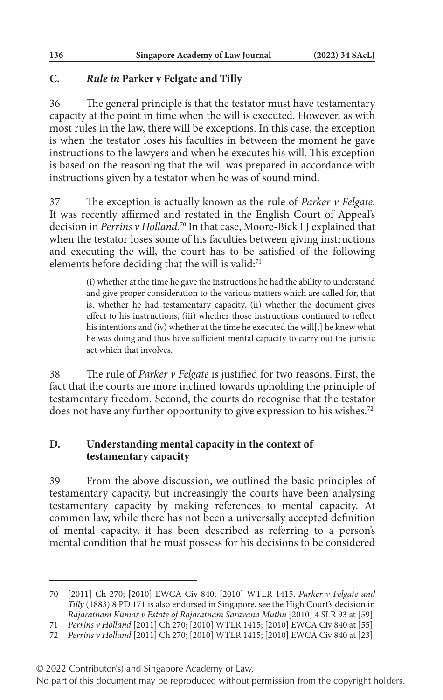## **C.** *Rule in* **Parker v Felgate and Tilly**

36 The general principle is that the testator must have testamentary capacity at the point in time when the will is executed. However, as with most rules in the law, there will be exceptions. In this case, the exception is when the testator loses his faculties in between the moment he gave instructions to the lawyers and when he executes his will. This exception is based on the reasoning that the will was prepared in accordance with instructions given by a testator when he was of sound mind.

37 The exception is actually known as the rule of *Parker v Felgate*. It was recently affirmed and restated in the English Court of Appeal's decision in *Perrins v Holland*. 70 In that case, Moore-Bick LJ explained that when the testator loses some of his faculties between giving instructions and executing the will, the court has to be satisfied of the following elements before deciding that the will is valid:<sup>71</sup>

> (i) whether at the time he gave the instructions he had the ability to understand and give proper consideration to the various matters which are called for, that is, whether he had testamentary capacity, (ii) whether the document gives effect to his instructions, (iii) whether those instructions continued to reflect his intentions and (iv) whether at the time he executed the will[,] he knew what he was doing and thus have sufficient mental capacity to carry out the juristic act which that involves.

38 The rule of *Parker v Felgate* is justified for two reasons. First, the fact that the courts are more inclined towards upholding the principle of testamentary freedom. Second, the courts do recognise that the testator does not have any further opportunity to give expression to his wishes.<sup>72</sup>

## **D. Understanding mental capacity in the context of testamentary capacity**

39 From the above discussion, we outlined the basic principles of testamentary capacity, but increasingly the courts have been analysing testamentary capacity by making references to mental capacity. At common law, while there has not been a universally accepted definition of mental capacity, it has been described as referring to a person's mental condition that he must possess for his decisions to be considered

<sup>70</sup> [2011] Ch 270; [2010] EWCA Civ 840; [2010] WTLR 1415. *Parker v Felgate and Tilly* (1883) 8 PD 171 is also endorsed in Singapore, see the High Court's decision in *Rajaratnam Kumar v Estate of Rajaratnam Saravana Muthu* [2010] 4 SLR 93 at [59].

<sup>71</sup> *Perrins v Holland* [2011] Ch 270; [2010] WTLR 1415; [2010] EWCA Civ 840 at [55].

<sup>72</sup> *Perrins v Holland* [2011] Ch 270; [2010] WTLR 1415; [2010] EWCA Civ 840 at [23].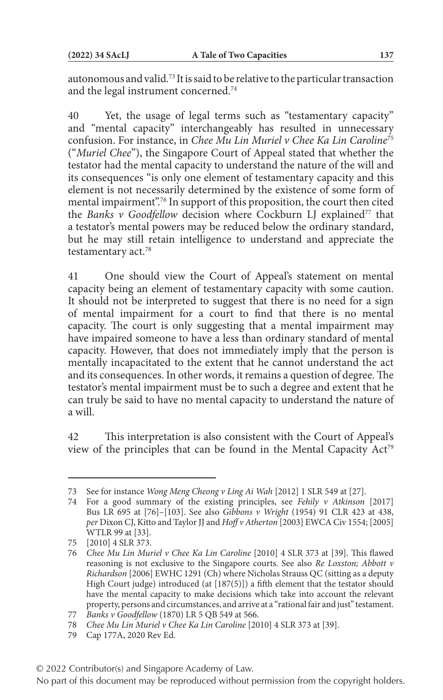autonomous and valid.73 It is said to be relative to the particular transaction and the legal instrument concerned.74

40 Yet, the usage of legal terms such as "testamentary capacity" and "mental capacity" interchangeably has resulted in unnecessary confusion. For instance, in *Chee Mu Lin Muriel v Chee Ka Lin Caroline*<sup>75</sup> ("*Muriel Chee*"), the Singapore Court of Appeal stated that whether the testator had the mental capacity to understand the nature of the will and its consequences "is only one element of testamentary capacity and this element is not necessarily determined by the existence of some form of mental impairment".76 In support of this proposition, the court then cited the *Banks v Goodfellow* decision where Cockburn LJ explained<sup>77</sup> that a testator's mental powers may be reduced below the ordinary standard, but he may still retain intelligence to understand and appreciate the testamentary act.78

41 One should view the Court of Appeal's statement on mental capacity being an element of testamentary capacity with some caution. It should not be interpreted to suggest that there is no need for a sign of mental impairment for a court to find that there is no mental capacity. The court is only suggesting that a mental impairment may have impaired someone to have a less than ordinary standard of mental capacity. However, that does not immediately imply that the person is mentally incapacitated to the extent that he cannot understand the act and its consequences. In other words, it remains a question of degree. The testator's mental impairment must be to such a degree and extent that he can truly be said to have no mental capacity to understand the nature of a will.

42 This interpretation is also consistent with the Court of Appeal's view of the principles that can be found in the Mental Capacity Act<sup>79</sup>

<sup>73</sup> See for instance *Wong Meng Cheong v Ling Ai Wah* [2012] 1 SLR 549 at [27].

<sup>74</sup> For a good summary of the existing principles, see *Fehily v Atkinson* [2017] Bus LR 695 at [76]–[103]. See also *Gibbons v Wright* (1954) 91 CLR 423 at 438, *per* Dixon CJ, Kitto and Taylor JJ and *Hoff v Atherton* [2003] EWCA Civ 1554; [2005] WTLR 99 at [33].

<sup>75</sup> [2010] 4 SLR 373.

<sup>76</sup> *Chee Mu Lin Muriel v Chee Ka Lin Caroline* [2010] 4 SLR 373 at [39]. This flawed reasoning is not exclusive to the Singapore courts. See also *Re Loxston; Abbott v Richardson* [2006] EWHC 1291 (Ch) where Nicholas Strauss QC (sitting as a deputy High Court judge) introduced (at [187(5)]) a fifth element that the testator should have the mental capacity to make decisions which take into account the relevant property, persons and circumstances, and arrive at a "rational fair and just" testament.

<sup>77</sup> *Banks v Goodfellow* (1870) LR 5 QB 549 at 566.

<sup>78</sup> *Chee Mu Lin Muriel v Chee Ka Lin Caroline* [2010] 4 SLR 373 at [39].

<sup>79</sup> Cap 177A, 2020 Rev Ed.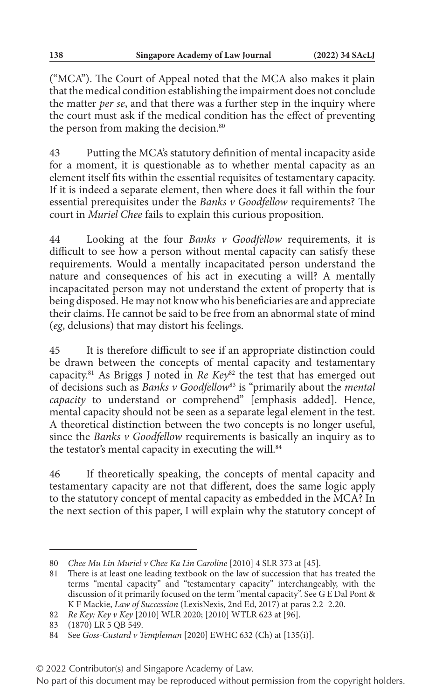("MCA"). The Court of Appeal noted that the MCA also makes it plain that the medical condition establishing the impairment does not conclude the matter *per se*, and that there was a further step in the inquiry where the court must ask if the medical condition has the effect of preventing the person from making the decision.<sup>80</sup>

43 Putting the MCA's statutory definition of mental incapacity aside for a moment, it is questionable as to whether mental capacity as an element itself fits within the essential requisites of testamentary capacity. If it is indeed a separate element, then where does it fall within the four essential prerequisites under the *Banks v Goodfellow* requirements? The court in *Muriel Chee* fails to explain this curious proposition.

44 Looking at the four *Banks v Goodfellow* requirements, it is difficult to see how a person without mental capacity can satisfy these requirements. Would a mentally incapacitated person understand the nature and consequences of his act in executing a will? A mentally incapacitated person may not understand the extent of property that is being disposed. He may not know who his beneficiaries are and appreciate their claims. He cannot be said to be free from an abnormal state of mind (*eg*, delusions) that may distort his feelings.

45 It is therefore difficult to see if an appropriate distinction could be drawn between the concepts of mental capacity and testamentary capacity.<sup>81</sup> As Briggs J noted in *Re Key*<sup>82</sup> the test that has emerged out of decisions such as *Banks v Goodfellow*83 is "primarily about the *mental capacity* to understand or comprehend" [emphasis added]. Hence, mental capacity should not be seen as a separate legal element in the test. A theoretical distinction between the two concepts is no longer useful, since the *Banks v Goodfellow* requirements is basically an inquiry as to the testator's mental capacity in executing the will.<sup>84</sup>

46 If theoretically speaking, the concepts of mental capacity and testamentary capacity are not that different, does the same logic apply to the statutory concept of mental capacity as embedded in the MCA? In the next section of this paper, I will explain why the statutory concept of

<sup>80</sup> *Chee Mu Lin Muriel v Chee Ka Lin Caroline* [2010] 4 SLR 373 at [45].

<sup>81</sup> There is at least one leading textbook on the law of succession that has treated the terms "mental capacity" and "testamentary capacity" interchangeably, with the discussion of it primarily focused on the term "mental capacity". See G E Dal Pont & K F Mackie, *Law of Succession* (LexisNexis, 2nd Ed, 2017) at paras 2.2–2.20.

<sup>82</sup> *Re Key; Key v Key* [2010] WLR 2020; [2010] WTLR 623 at [96].

<sup>83</sup> (1870) LR 5 QB 549.

<sup>84</sup> See *Goss-Custard v Templeman* [2020] EWHC 632 (Ch) at [135(i)].

<sup>© 2022</sup> Contributor(s) and Singapore Academy of Law.

No part of this document may be reproduced without permission from the copyright holders.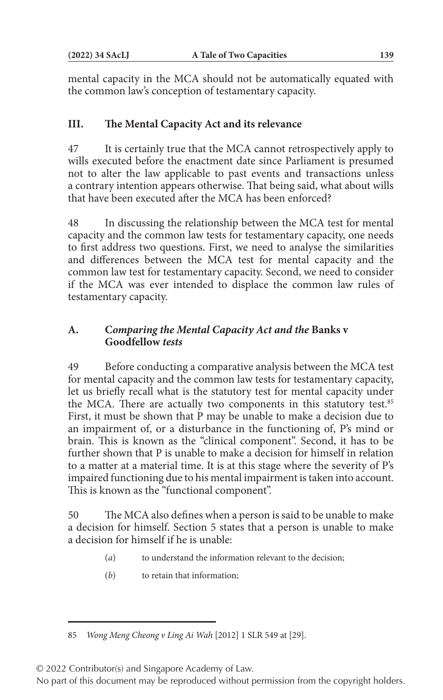mental capacity in the MCA should not be automatically equated with the common law's conception of testamentary capacity.

# **III. The Mental Capacity Act and its relevance**

47 It is certainly true that the MCA cannot retrospectively apply to wills executed before the enactment date since Parliament is presumed not to alter the law applicable to past events and transactions unless a contrary intention appears otherwise. That being said, what about wills that have been executed after the MCA has been enforced?

48 In discussing the relationship between the MCA test for mental capacity and the common law tests for testamentary capacity, one needs to first address two questions. First, we need to analyse the similarities and differences between the MCA test for mental capacity and the common law test for testamentary capacity. Second, we need to consider if the MCA was ever intended to displace the common law rules of testamentary capacity.

## **A. C***omparing the Mental Capacity Act and the* **Banks v Goodfellow** *tests*

49 Before conducting a comparative analysis between the MCA test for mental capacity and the common law tests for testamentary capacity, let us briefly recall what is the statutory test for mental capacity under the MCA. There are actually two components in this statutory test.<sup>85</sup> First, it must be shown that P may be unable to make a decision due to an impairment of, or a disturbance in the functioning of, P's mind or brain. This is known as the "clinical component". Second, it has to be further shown that P is unable to make a decision for himself in relation to a matter at a material time. It is at this stage where the severity of P's impaired functioning due to his mental impairment is taken into account. This is known as the "functional component".

50 The MCA also defines when a person is said to be unable to make a decision for himself. Section 5 states that a person is unable to make a decision for himself if he is unable:

- (*a*) to understand the information relevant to the decision;
- (*b*) to retain that information;

© 2022 Contributor(s) and Singapore Academy of Law.

<sup>85</sup> *Wong Meng Cheong v Ling Ai Wah* [2012] 1 SLR 549 at [29].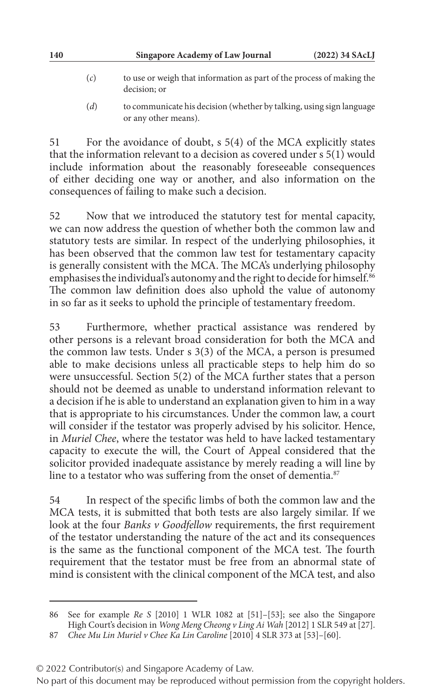- (*c*) to use or weigh that information as part of the process of making the decision; or
- (*d*) to communicate his decision (whether by talking, using sign language or any other means).

51 For the avoidance of doubt, s 5(4) of the MCA explicitly states that the information relevant to a decision as covered under s 5(1) would include information about the reasonably foreseeable consequences of either deciding one way or another, and also information on the consequences of failing to make such a decision.

52 Now that we introduced the statutory test for mental capacity, we can now address the question of whether both the common law and statutory tests are similar. In respect of the underlying philosophies, it has been observed that the common law test for testamentary capacity is generally consistent with the MCA. The MCA's underlying philosophy emphasises the individual's autonomy and the right to decide for himself.<sup>86</sup> The common law definition does also uphold the value of autonomy in so far as it seeks to uphold the principle of testamentary freedom.

53 Furthermore, whether practical assistance was rendered by other persons is a relevant broad consideration for both the MCA and the common law tests. Under s 3(3) of the MCA, a person is presumed able to make decisions unless all practicable steps to help him do so were unsuccessful. Section 5(2) of the MCA further states that a person should not be deemed as unable to understand information relevant to a decision if he is able to understand an explanation given to him in a way that is appropriate to his circumstances. Under the common law, a court will consider if the testator was properly advised by his solicitor. Hence, in *Muriel Chee*, where the testator was held to have lacked testamentary capacity to execute the will, the Court of Appeal considered that the solicitor provided inadequate assistance by merely reading a will line by line to a testator who was suffering from the onset of dementia.<sup>87</sup>

54 In respect of the specific limbs of both the common law and the MCA tests, it is submitted that both tests are also largely similar. If we look at the four *Banks v Goodfellow* requirements, the first requirement of the testator understanding the nature of the act and its consequences is the same as the functional component of the MCA test. The fourth requirement that the testator must be free from an abnormal state of mind is consistent with the clinical component of the MCA test, and also

<sup>86</sup> See for example *Re S* [2010] 1 WLR 1082 at [51]–[53]; see also the Singapore High Court's decision in *Wong Meng Cheong v Ling Ai Wah* [2012] 1 SLR 549 at [27].

<sup>87</sup> *Chee Mu Lin Muriel v Chee Ka Lin Caroline* [2010] 4 SLR 373 at [53]–[60].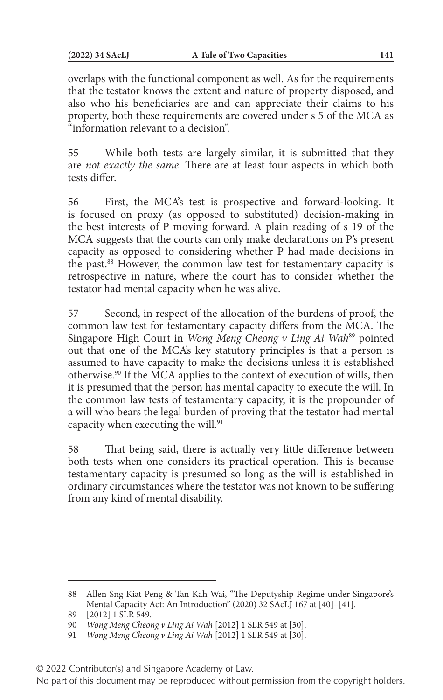overlaps with the functional component as well. As for the requirements that the testator knows the extent and nature of property disposed, and also who his beneficiaries are and can appreciate their claims to his property, both these requirements are covered under s 5 of the MCA as "information relevant to a decision".

55 While both tests are largely similar, it is submitted that they are *not exactly the same*. There are at least four aspects in which both tests differ.

56 First, the MCA's test is prospective and forward-looking. It is focused on proxy (as opposed to substituted) decision-making in the best interests of P moving forward. A plain reading of s 19 of the MCA suggests that the courts can only make declarations on P's present capacity as opposed to considering whether P had made decisions in the past.88 However, the common law test for testamentary capacity is retrospective in nature, where the court has to consider whether the testator had mental capacity when he was alive.

57 Second, in respect of the allocation of the burdens of proof, the common law test for testamentary capacity differs from the MCA. The Singapore High Court in *Wong Meng Cheong v Ling Ai Wah*<sup>89</sup> pointed out that one of the MCA's key statutory principles is that a person is assumed to have capacity to make the decisions unless it is established otherwise.90 If the MCA applies to the context of execution of wills, then it is presumed that the person has mental capacity to execute the will. In the common law tests of testamentary capacity, it is the propounder of a will who bears the legal burden of proving that the testator had mental capacity when executing the will.<sup>91</sup>

58 That being said, there is actually very little difference between both tests when one considers its practical operation. This is because testamentary capacity is presumed so long as the will is established in ordinary circumstances where the testator was not known to be suffering from any kind of mental disability.

© 2022 Contributor(s) and Singapore Academy of Law.

<sup>88</sup> Allen Sng Kiat Peng & Tan Kah Wai, "The Deputyship Regime under Singapore's Mental Capacity Act: An Introduction" (2020) 32 SAcLJ 167 at [40]–[41].

<sup>89</sup> [2012] 1 SLR 549.

<sup>90</sup> *Wong Meng Cheong v Ling Ai Wah* [2012] 1 SLR 549 at [30].

<sup>91</sup> *Wong Meng Cheong v Ling Ai Wah* [2012] 1 SLR 549 at [30].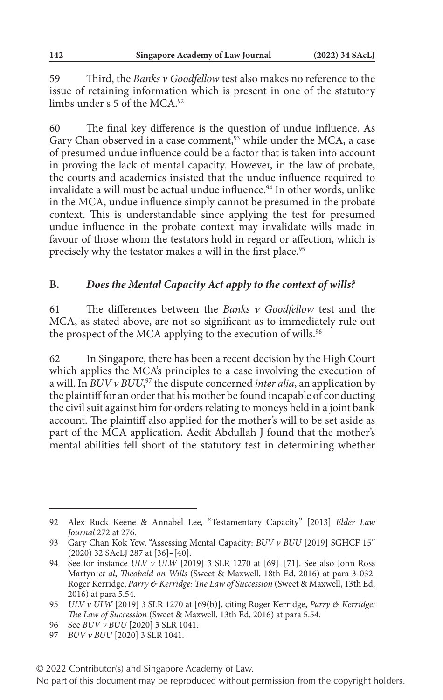59 Third, the *Banks v Goodfellow* test also makes no reference to the issue of retaining information which is present in one of the statutory limbs under s 5 of the MCA.<sup>92</sup>

60 The final key difference is the question of undue influence. As Gary Chan observed in a case comment,<sup>93</sup> while under the MCA, a case of presumed undue influence could be a factor that is taken into account in proving the lack of mental capacity. However, in the law of probate, the courts and academics insisted that the undue influence required to invalidate a will must be actual undue influence.<sup>94</sup> In other words, unlike in the MCA, undue influence simply cannot be presumed in the probate context. This is understandable since applying the test for presumed undue influence in the probate context may invalidate wills made in favour of those whom the testators hold in regard or affection, which is precisely why the testator makes a will in the first place.<sup>95</sup>

## **B.** *Does the Mental Capacity Act apply to the context of wills?*

61 The differences between the *Banks v Goodfellow* test and the MCA, as stated above, are not so significant as to immediately rule out the prospect of the MCA applying to the execution of wills.<sup>96</sup>

62 In Singapore, there has been a recent decision by the High Court which applies the MCA's principles to a case involving the execution of a will. In *BUV v BUU*, 97 the dispute concerned *inter alia*, an application by the plaintiff for an order that his mother be found incapable of conducting the civil suit against him for orders relating to moneys held in a joint bank account. The plaintiff also applied for the mother's will to be set aside as part of the MCA application. Aedit Abdullah J found that the mother's mental abilities fell short of the statutory test in determining whether

<sup>92</sup> Alex Ruck Keene & Annabel Lee, "Testamentary Capacity" [2013] *Elder Law Journal* 272 at 276.

<sup>93</sup> Gary Chan Kok Yew, "Assessing Mental Capacity: *BUV v BUU* [2019] SGHCF 15" (2020) 32 SAcLJ 287 at [36]–[40].

<sup>94</sup> See for instance *ULV v ULW* [2019] 3 SLR 1270 at [69]–[71]. See also John Ross Martyn *et al*, *Theobald on Wills* (Sweet & Maxwell, 18th Ed, 2016) at para 3-032. Roger Kerridge, *Parry & Kerridge: The Law of Succession* (Sweet & Maxwell, 13th Ed, 2016) at para 5.54.

<sup>95</sup> *ULV v ULW* [2019] 3 SLR 1270 at [69(b)], citing Roger Kerridge, *Parry & Kerridge: The Law of Succession* (Sweet & Maxwell, 13th Ed, 2016) at para 5.54.

<sup>96</sup> See *BUV v BUU* [2020] 3 SLR 1041.

<sup>97</sup> *BUV v BUU* [2020] 3 SLR 1041.

No part of this document may be reproduced without permission from the copyright holders.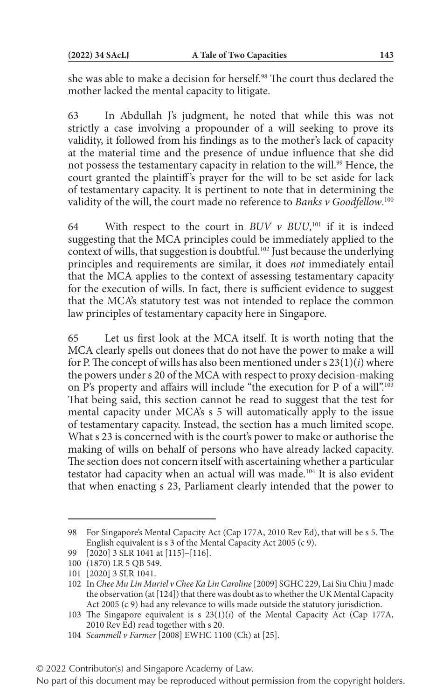she was able to make a decision for herself.<sup>98</sup> The court thus declared the mother lacked the mental capacity to litigate.

63 In Abdullah J's judgment, he noted that while this was not strictly a case involving a propounder of a will seeking to prove its validity, it followed from his findings as to the mother's lack of capacity at the material time and the presence of undue influence that she did not possess the testamentary capacity in relation to the will.<sup>99</sup> Hence, the court granted the plaintiff 's prayer for the will to be set aside for lack of testamentary capacity. It is pertinent to note that in determining the validity of the will, the court made no reference to *Banks v Goodfellow*. 100

64 With respect to the court in  $BUV$   $\nu$   $BUU$ ,<sup>101</sup> if it is indeed suggesting that the MCA principles could be immediately applied to the context of wills, that suggestion is doubtful.<sup>102</sup> Just because the underlying principles and requirements are similar, it does *not* immediately entail that the MCA applies to the context of assessing testamentary capacity for the execution of wills. In fact, there is sufficient evidence to suggest that the MCA's statutory test was not intended to replace the common law principles of testamentary capacity here in Singapore.

65 Let us first look at the MCA itself. It is worth noting that the MCA clearly spells out donees that do not have the power to make a will for P. The concept of wills has also been mentioned under s 23(1)(*i*) where the powers under s 20 of the MCA with respect to proxy decision-making on P's property and affairs will include "the execution for P of a will".103 That being said, this section cannot be read to suggest that the test for mental capacity under MCA's s 5 will automatically apply to the issue of testamentary capacity. Instead, the section has a much limited scope. What s 23 is concerned with is the court's power to make or authorise the making of wills on behalf of persons who have already lacked capacity. The section does not concern itself with ascertaining whether a particular testator had capacity when an actual will was made.<sup>104</sup> It is also evident that when enacting s 23, Parliament clearly intended that the power to

<sup>98</sup> For Singapore's Mental Capacity Act (Cap 177A, 2010 Rev Ed), that will be s 5. The English equivalent is s 3 of the Mental Capacity Act 2005 (c 9).

<sup>99</sup> [2020] 3 SLR 1041 at [115]–[116].

<sup>100</sup> (1870) LR 5 QB 549.

<sup>101</sup> [2020] 3 SLR 1041.

<sup>102</sup> In *Chee Mu Lin Muriel v Chee Ka Lin Caroline* [2009] SGHC 229, Lai Siu Chiu J made the observation (at [124]) that there was doubt as to whether the UK Mental Capacity Act 2005 (c 9) had any relevance to wills made outside the statutory jurisdiction.

<sup>103</sup> The Singapore equivalent is s 23(1)(*i*) of the Mental Capacity Act (Cap 177A, 2010 Rev Ed) read together with s 20.

<sup>104</sup> *Scammell v Farmer* [2008] EWHC 1100 (Ch) at [25].

<sup>© 2022</sup> Contributor(s) and Singapore Academy of Law.

No part of this document may be reproduced without permission from the copyright holders.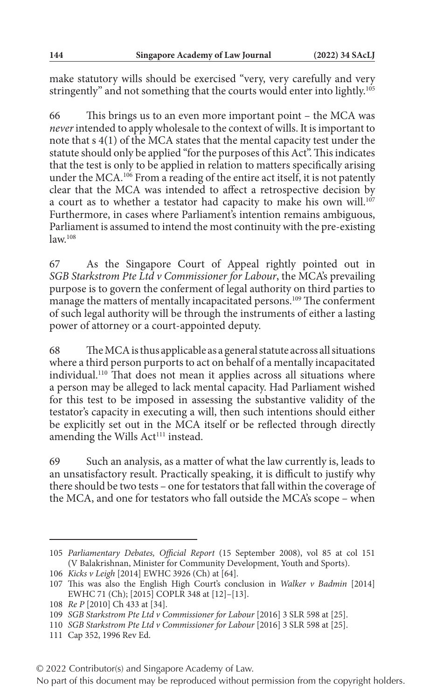make statutory wills should be exercised "very, very carefully and very stringently" and not something that the courts would enter into lightly.<sup>105</sup>

66 This brings us to an even more important point – the MCA was *never* intended to apply wholesale to the context of wills. It is important to note that s 4(1) of the MCA states that the mental capacity test under the statute should only be applied "for the purposes of this Act". This indicates that the test is only to be applied in relation to matters specifically arising under the MCA.<sup>106</sup> From a reading of the entire act itself, it is not patently clear that the MCA was intended to affect a retrospective decision by a court as to whether a testator had capacity to make his own will.<sup>107</sup> Furthermore, in cases where Parliament's intention remains ambiguous, Parliament is assumed to intend the most continuity with the pre-existing  $law<sup>108</sup>$ 

67 As the Singapore Court of Appeal rightly pointed out in *SGB Starkstrom Pte Ltd v Commissioner for Labour*, the MCA's prevailing purpose is to govern the conferment of legal authority on third parties to manage the matters of mentally incapacitated persons.<sup>109</sup> The conferment of such legal authority will be through the instruments of either a lasting power of attorney or a court-appointed deputy.

68 The MCA is thus applicable as a general statute across all situations where a third person purports to act on behalf of a mentally incapacitated individual.110 That does not mean it applies across all situations where a person may be alleged to lack mental capacity. Had Parliament wished for this test to be imposed in assessing the substantive validity of the testator's capacity in executing a will, then such intentions should either be explicitly set out in the MCA itself or be reflected through directly amending the Wills Act<sup>111</sup> instead.

69 Such an analysis, as a matter of what the law currently is, leads to an unsatisfactory result. Practically speaking, it is difficult to justify why there should be two tests – one for testators that fall within the coverage of the MCA, and one for testators who fall outside the MCA's scope – when

<sup>105</sup> *Parliamentary Debates, Official Report* (15 September 2008), vol 85 at col 151 (V Balakrishnan, Minister for Community Development, Youth and Sports).

<sup>106</sup> *Kicks v Leigh* [2014] EWHC 3926 (Ch) at [64].

<sup>107</sup> This was also the English High Court's conclusion in *Walker v Badmin* [2014] EWHC 71 (Ch); [2015] COPLR 348 at [12]–[13].

<sup>108</sup> *Re P* [2010] Ch 433 at [34].

<sup>109</sup> *SGB Starkstrom Pte Ltd v Commissioner for Labour* [2016] 3 SLR 598 at [25].

<sup>110</sup> *SGB Starkstrom Pte Ltd v Commissioner for Labour* [2016] 3 SLR 598 at [25].

<sup>111</sup> Cap 352, 1996 Rev Ed.

<sup>© 2022</sup> Contributor(s) and Singapore Academy of Law.

No part of this document may be reproduced without permission from the copyright holders.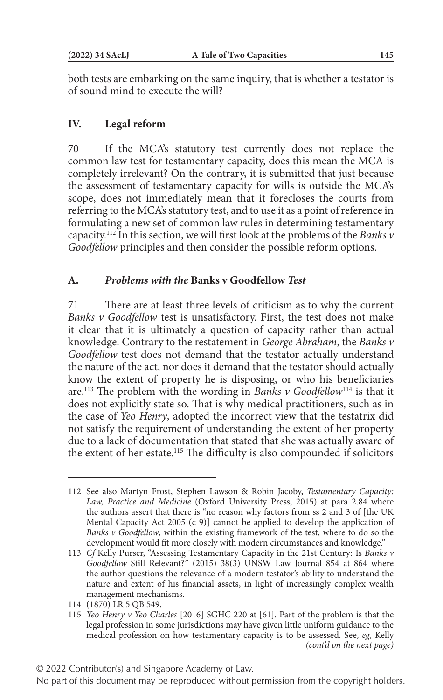both tests are embarking on the same inquiry, that is whether a testator is of sound mind to execute the will?

## **IV. Legal reform**

70 If the MCA's statutory test currently does not replace the common law test for testamentary capacity, does this mean the MCA is completely irrelevant? On the contrary, it is submitted that just because the assessment of testamentary capacity for wills is outside the MCA's scope, does not immediately mean that it forecloses the courts from referring to the MCA's statutory test, and to use it as a point of reference in formulating a new set of common law rules in determining testamentary capacity.112 In this section, we will first look at the problems of the *Banks v Goodfellow* principles and then consider the possible reform options.

#### **A.** *Problems with the* **Banks v Goodfellow** *Test*

71 There are at least three levels of criticism as to why the current *Banks v Goodfellow* test is unsatisfactory. First, the test does not make it clear that it is ultimately a question of capacity rather than actual knowledge. Contrary to the restatement in *George Abraham*, the *Banks v Goodfellow* test does not demand that the testator actually understand the nature of the act, nor does it demand that the testator should actually know the extent of property he is disposing, or who his beneficiaries are.113 The problem with the wording in *Banks v Goodfellow*114 is that it does not explicitly state so. That is why medical practitioners, such as in the case of *Yeo Henry*, adopted the incorrect view that the testatrix did not satisfy the requirement of understanding the extent of her property due to a lack of documentation that stated that she was actually aware of the extent of her estate.115 The difficulty is also compounded if solicitors

<sup>112</sup> See also Martyn Frost, Stephen Lawson & Robin Jacoby, *Testamentary Capacity: Law, Practice and Medicine* (Oxford University Press, 2015) at para 2.84 where the authors assert that there is "no reason why factors from ss 2 and 3 of [the UK Mental Capacity Act 2005 (c 9)] cannot be applied to develop the application of *Banks v Goodfellow*, within the existing framework of the test, where to do so the development would fit more closely with modern circumstances and knowledge."

<sup>113</sup> *Cf* Kelly Purser, "Assessing Testamentary Capacity in the 21st Century: Is *Banks v Goodfellow* Still Relevant?" (2015) 38(3) UNSW Law Journal 854 at 864 where the author questions the relevance of a modern testator's ability to understand the nature and extent of his financial assets, in light of increasingly complex wealth management mechanisms.

<sup>114</sup> (1870) LR 5 QB 549.

<sup>115</sup> *Yeo Henry v Yeo Charles* [2016] SGHC 220 at [61]. Part of the problem is that the legal profession in some jurisdictions may have given little uniform guidance to the medical profession on how testamentary capacity is to be assessed. See, *eg*, Kelly *(cont'd on the next page)*

No part of this document may be reproduced without permission from the copyright holders.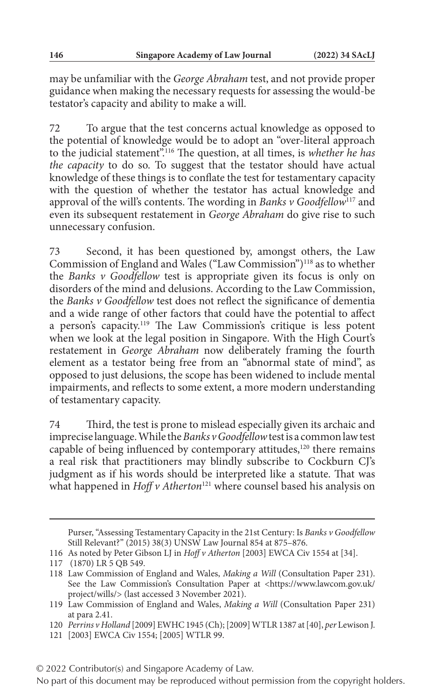may be unfamiliar with the *George Abraham* test, and not provide proper guidance when making the necessary requests for assessing the would-be testator's capacity and ability to make a will.

72 To argue that the test concerns actual knowledge as opposed to the potential of knowledge would be to adopt an "over-literal approach to the judicial statement".116 The question, at all times, is *whether he has the capacity* to do so. To suggest that the testator should have actual knowledge of these things is to conflate the test for testamentary capacity with the question of whether the testator has actual knowledge and approval of the will's contents. The wording in *Banks v Goodfellow*117 and even its subsequent restatement in *George Abraham* do give rise to such unnecessary confusion.

73 Second, it has been questioned by, amongst others, the Law Commission of England and Wales ("Law Commission")<sup>118</sup> as to whether the *Banks v Goodfellow* test is appropriate given its focus is only on disorders of the mind and delusions. According to the Law Commission, the *Banks v Goodfellow* test does not reflect the significance of dementia and a wide range of other factors that could have the potential to affect a person's capacity.119 The Law Commission's critique is less potent when we look at the legal position in Singapore. With the High Court's restatement in *George Abraham* now deliberately framing the fourth element as a testator being free from an "abnormal state of mind", as opposed to just delusions, the scope has been widened to include mental impairments, and reflects to some extent, a more modern understanding of testamentary capacity.

74 Third, the test is prone to mislead especially given its archaic and imprecise language. While the *Banks v Goodfellow* test is a common law test capable of being influenced by contemporary attitudes, $120$  there remains a real risk that practitioners may blindly subscribe to Cockburn CJ's judgment as if his words should be interpreted like a statute. That was what happened in *Hoff v Atherton*<sup>121</sup> where counsel based his analysis on

Purser, "Assessing Testamentary Capacity in the 21st Century: Is *Banks v Goodfellow* Still Relevant?" (2015) 38(3) UNSW Law Journal 854 at 875–876.

<sup>116</sup> As noted by Peter Gibson LJ in *Hoff v Atherton* [2003] EWCA Civ 1554 at [34].

<sup>117 (1870)</sup> LR 5 QB 549.

<sup>118</sup> Law Commission of England and Wales, *Making a Will* (Consultation Paper 231). See the Law Commission's Consultation Paper at <https://www.lawcom.gov.uk/ project/wills/> (last accessed 3 November 2021).

<sup>119</sup> Law Commission of England and Wales, *Making a Will* (Consultation Paper 231) at para 2.41.

<sup>120</sup> *Perrins v Holland* [2009] EWHC 1945 (Ch); [2009] WTLR 1387 at [40], *per* Lewison J.

<sup>121</sup> [2003] EWCA Civ 1554; [2005] WTLR 99.

<sup>© 2022</sup> Contributor(s) and Singapore Academy of Law.

No part of this document may be reproduced without permission from the copyright holders.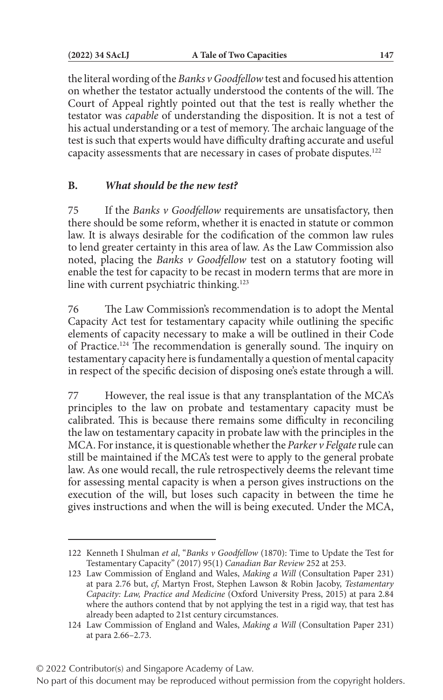the literal wording of the *Banks v Goodfellow* test and focused his attention on whether the testator actually understood the contents of the will. The Court of Appeal rightly pointed out that the test is really whether the testator was *capable* of understanding the disposition. It is not a test of his actual understanding or a test of memory. The archaic language of the test is such that experts would have difficulty drafting accurate and useful capacity assessments that are necessary in cases of probate disputes.122

## **B.** *What should be the new test?*

75 If the *Banks v Goodfellow* requirements are unsatisfactory, then there should be some reform, whether it is enacted in statute or common law. It is always desirable for the codification of the common law rules to lend greater certainty in this area of law. As the Law Commission also noted, placing the *Banks v Goodfellow* test on a statutory footing will enable the test for capacity to be recast in modern terms that are more in line with current psychiatric thinking.<sup>123</sup>

76 The Law Commission's recommendation is to adopt the Mental Capacity Act test for testamentary capacity while outlining the specific elements of capacity necessary to make a will be outlined in their Code of Practice.124 The recommendation is generally sound. The inquiry on testamentary capacity here is fundamentally a question of mental capacity in respect of the specific decision of disposing one's estate through a will.

77 However, the real issue is that any transplantation of the MCA's principles to the law on probate and testamentary capacity must be calibrated. This is because there remains some difficulty in reconciling the law on testamentary capacity in probate law with the principles in the MCA. For instance, it is questionable whether the *Parker v Felgate* rule can still be maintained if the MCA's test were to apply to the general probate law. As one would recall, the rule retrospectively deems the relevant time for assessing mental capacity is when a person gives instructions on the execution of the will, but loses such capacity in between the time he gives instructions and when the will is being executed. Under the MCA,

#### © 2022 Contributor(s) and Singapore Academy of Law.

<sup>122</sup> Kenneth I Shulman *et al*, "*Banks v Goodfellow* (1870): Time to Update the Test for Testamentary Capacity" (2017) 95(1) *Canadian Bar Review* 252 at 253.

<sup>123</sup> Law Commission of England and Wales, *Making a Will* (Consultation Paper 231) at para 2.76 but, *cf*, Martyn Frost, Stephen Lawson & Robin Jacoby, *Testamentary Capacity: Law, Practice and Medicine* (Oxford University Press, 2015) at para 2.84 where the authors contend that by not applying the test in a rigid way, that test has already been adapted to 21st century circumstances.

<sup>124</sup> Law Commission of England and Wales, *Making a Will* (Consultation Paper 231) at para 2.66–2.73.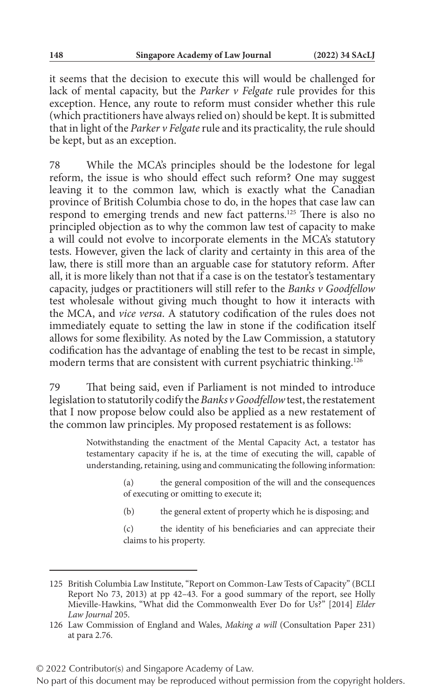it seems that the decision to execute this will would be challenged for lack of mental capacity, but the *Parker v Felgate* rule provides for this exception. Hence, any route to reform must consider whether this rule (which practitioners have always relied on) should be kept. It is submitted that in light of the *Parker v Felgate* rule and its practicality, the rule should be kept, but as an exception.

78 While the MCA's principles should be the lodestone for legal reform, the issue is who should effect such reform? One may suggest leaving it to the common law, which is exactly what the Canadian province of British Columbia chose to do, in the hopes that case law can respond to emerging trends and new fact patterns.<sup>125</sup> There is also no principled objection as to why the common law test of capacity to make a will could not evolve to incorporate elements in the MCA's statutory tests. However, given the lack of clarity and certainty in this area of the law, there is still more than an arguable case for statutory reform. After all, it is more likely than not that if a case is on the testator's testamentary capacity, judges or practitioners will still refer to the *Banks v Goodfellow* test wholesale without giving much thought to how it interacts with the MCA, and *vice versa*. A statutory codification of the rules does not immediately equate to setting the law in stone if the codification itself allows for some flexibility. As noted by the Law Commission, a statutory codification has the advantage of enabling the test to be recast in simple, modern terms that are consistent with current psychiatric thinking.<sup>126</sup>

79 That being said, even if Parliament is not minded to introduce legislation to statutorily codify the *Banks v Goodfellow* test, the restatement that I now propose below could also be applied as a new restatement of the common law principles. My proposed restatement is as follows:

> Notwithstanding the enactment of the Mental Capacity Act, a testator has testamentary capacity if he is, at the time of executing the will, capable of understanding, retaining, using and communicating the following information:

- (a) the general composition of the will and the consequences of executing or omitting to execute it;
- (b) the general extent of property which he is disposing; and

(c) the identity of his beneficiaries and can appreciate their claims to his property.

<sup>125</sup> British Columbia Law Institute, "Report on Common-Law Tests of Capacity" (BCLI Report No 73, 2013) at pp 42–43. For a good summary of the report, see Holly Mieville-Hawkins, "What did the Commonwealth Ever Do for Us?" [2014] *Elder Law Journal* 205.

<sup>126</sup> Law Commission of England and Wales, *Making a will* (Consultation Paper 231) at para 2.76.

No part of this document may be reproduced without permission from the copyright holders.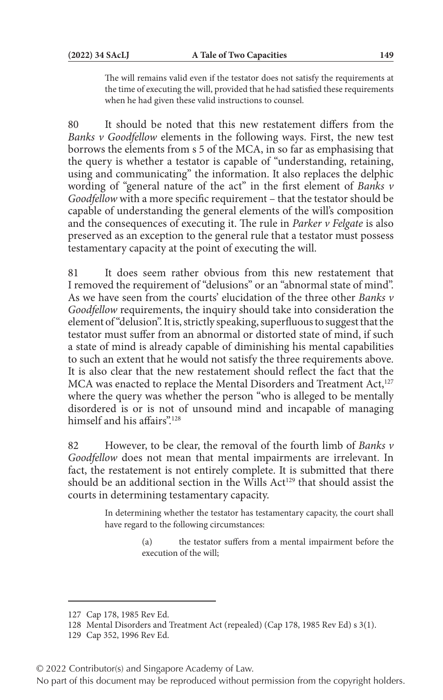The will remains valid even if the testator does not satisfy the requirements at the time of executing the will, provided that he had satisfied these requirements when he had given these valid instructions to counsel.

80 It should be noted that this new restatement differs from the *Banks v Goodfellow* elements in the following ways. First, the new test borrows the elements from s 5 of the MCA, in so far as emphasising that the query is whether a testator is capable of "understanding, retaining, using and communicating" the information. It also replaces the delphic wording of "general nature of the act" in the first element of *Banks v Goodfellow* with a more specific requirement – that the testator should be capable of understanding the general elements of the will's composition and the consequences of executing it. The rule in *Parker v Felgate* is also preserved as an exception to the general rule that a testator must possess testamentary capacity at the point of executing the will.

81 It does seem rather obvious from this new restatement that I removed the requirement of "delusions" or an "abnormal state of mind". As we have seen from the courts' elucidation of the three other *Banks v Goodfellow* requirements, the inquiry should take into consideration the element of "delusion". It is, strictly speaking, superfluous to suggest that the testator must suffer from an abnormal or distorted state of mind, if such a state of mind is already capable of diminishing his mental capabilities to such an extent that he would not satisfy the three requirements above. It is also clear that the new restatement should reflect the fact that the MCA was enacted to replace the Mental Disorders and Treatment Act,<sup>127</sup> where the query was whether the person "who is alleged to be mentally disordered is or is not of unsound mind and incapable of managing himself and his affairs".<sup>128</sup>

82 However, to be clear, the removal of the fourth limb of *Banks v Goodfellow* does not mean that mental impairments are irrelevant. In fact, the restatement is not entirely complete. It is submitted that there should be an additional section in the Wills Act<sup>129</sup> that should assist the courts in determining testamentary capacity.

> In determining whether the testator has testamentary capacity, the court shall have regard to the following circumstances:

> > (a) the testator suffers from a mental impairment before the execution of the will;

© 2022 Contributor(s) and Singapore Academy of Law.

<sup>127</sup> Cap 178, 1985 Rev Ed.

<sup>128</sup> Mental Disorders and Treatment Act (repealed) (Cap 178, 1985 Rev Ed) s 3(1).

<sup>129</sup> Cap 352, 1996 Rev Ed.